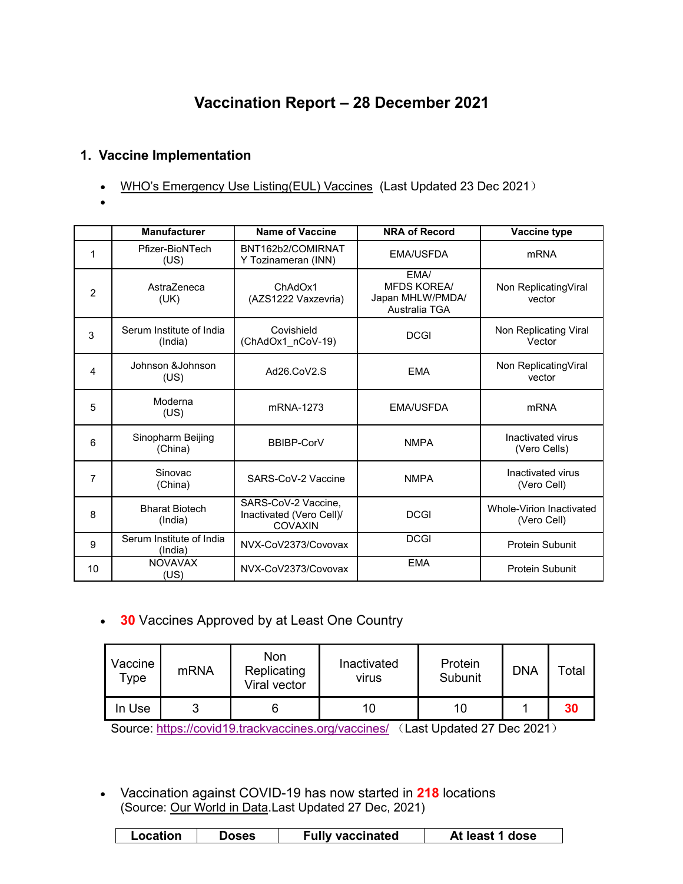# **Vaccination Report – 28 December 2021**

# **1. Vaccine Implementation**

- WHO's Emergency Use [Listing\(EUL\)](https://extranet.who.int/pqweb/sites/default/files/documents/Status_COVID_VAX_23Dec2021.pdf) Vaccines (Last Updated 23 Dec 2021)
- $\bullet$  and  $\bullet$  and  $\bullet$  and  $\bullet$

|                | <b>Manufacturer</b>                 | <b>Name of Vaccine</b>                                            | <b>NRA of Record</b>                                                                              | Vaccine type                            |
|----------------|-------------------------------------|-------------------------------------------------------------------|---------------------------------------------------------------------------------------------------|-----------------------------------------|
| 1              | Pfizer-BioNTech<br>(US)             | BNT162b2/COMIRNAT<br>Y Tozinameran (INN)                          | <b>EMA/USFDA</b><br><b>mRNA</b>                                                                   |                                         |
| $\overline{2}$ | AstraZeneca<br>(UK)                 | ChAdOx1<br>(AZS1222 Vaxzevria)                                    | EMA/<br><b>MFDS KOREA/</b><br>Non ReplicatingViral<br>Japan MHLW/PMDA/<br>vector<br>Australia TGA |                                         |
| 3              | Serum Institute of India<br>(India) | Covishield<br>(ChAdOx1_nCoV-19)                                   | <b>DCGI</b>                                                                                       | Non Replicating Viral<br>Vector         |
| 4              | Johnson & Johnson<br>(US)           | Ad26.CoV2.S                                                       | Non ReplicatingViral<br><b>EMA</b><br>vector                                                      |                                         |
| 5              | Moderna<br>(US)                     | mRNA-1273                                                         | <b>EMA/USFDA</b>                                                                                  | <b>mRNA</b>                             |
| 6              | Sinopharm Beijing<br>(China)        | BBIBP-CorV                                                        | <b>NMPA</b>                                                                                       | Inactivated virus<br>(Vero Cells)       |
| 7              | Sinovac<br>(China)                  | SARS-CoV-2 Vaccine                                                | <b>NMPA</b>                                                                                       | Inactivated virus<br>(Vero Cell)        |
| 8              | <b>Bharat Biotech</b><br>(India)    | SARS-CoV-2 Vaccine,<br>Inactivated (Vero Cell)/<br><b>COVAXIN</b> | <b>DCGI</b>                                                                                       | Whole-Virion Inactivated<br>(Vero Cell) |
| 9              | Serum Institute of India<br>(India) | NVX-CoV2373/Covovax                                               | <b>DCGI</b>                                                                                       | <b>Protein Subunit</b>                  |
| 10             | <b>NOVAVAX</b><br>(US)              | NVX-CoV2373/Covovax                                               | <b>EMA</b>                                                                                        | <b>Protein Subunit</b>                  |

**30** Vaccines Approved by at Least One Country

| Vaccine<br>$\tau$ ype | mRNA | Non<br>Replicating<br>Viral vector | Inactivated<br>virus | Protein<br>Subunit | <b>DNA</b> | Total |
|-----------------------|------|------------------------------------|----------------------|--------------------|------------|-------|
| In Use                | ັ    |                                    | 10                   | 10                 |            | 30    |

Source: <https://covid19.trackvaccines.org/vaccines/> (Last Updated 27 Dec 2021)

 Vaccination against COVID-19 has now started in **218** locations (Source: Our [World](https://ourworldindata.org/covid-vaccinations) in Data.Last Updated 27 Dec, 2021)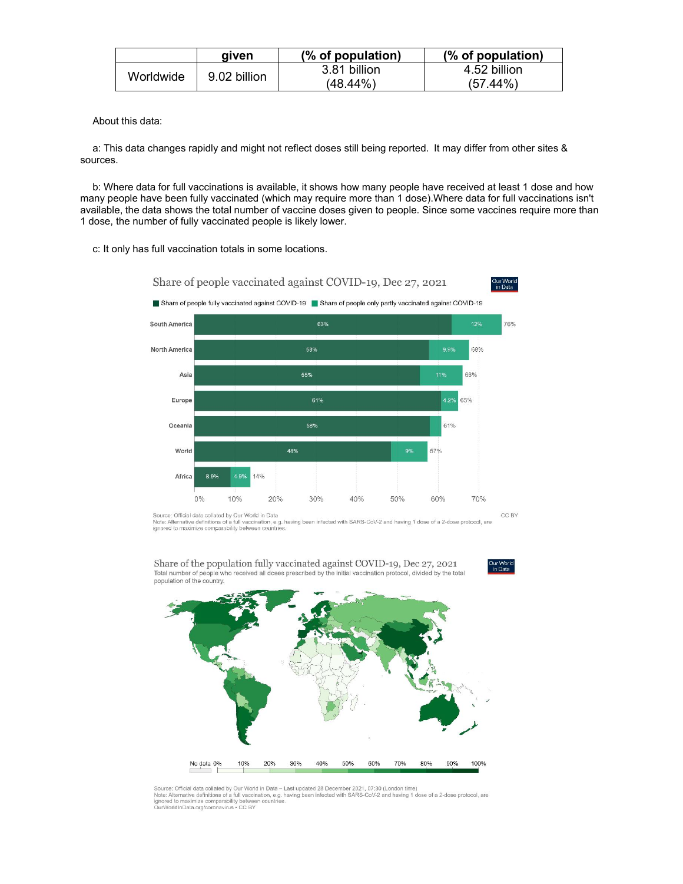|           | aiven        | (% of population) | (% of population) |
|-----------|--------------|-------------------|-------------------|
| Worldwide | 9.02 billion | 3.81 billion      | 4.52 billion      |
|           |              | $(48.44\%)$       | (44%).<br>(57     |

About this data:

a: This data changes rapidly and might not reflect doses still being reported. It may differ from other sites & sources.

b: Where data for full vaccinations is available, it shows how many people have received at least 1 dose and how many people have been fully vaccinated (which may require more than 1 dose).Where data for full vaccinations isn't available, the data shows the total number of vaccine doses given to people. Since some vaccines require more than 1 dose, the number of fully vaccinated people is likely lower.

c: It only has full vaccination totals in some locations.

Share of people vaccinated against COVID-19, Dec 27, 2021 Share of people fully vaccinated against COVID-19 Share of people only partly vaccinated against COVID-19



Source: Official data collated by Our World in Data<br>Note: Alternative definitions of a full vaccination, e.g. having been infected with SARS-CoV-2 and having 1 dose of a 2-dose protocol, are<br>ignored to maximize comparabili

CC BY

Our World<br>in Data



Share of the population fully vaccinated against COVID-19, Dec 27, 2021 Dial number of people who received all doses prescribed by the initial vaccination protocol, divided by the total<br>population of the country.

ur vvon<br>in Data

Source: Official data collated by Our World in Data - Last updated 28 December 2021, 07:30 (London time) but the intervention and contained the contained and the state of the state of the contained the state of a 2-dose protocol, are ignored to maximize comparability between countries.<br>In the state of the state of a full vacc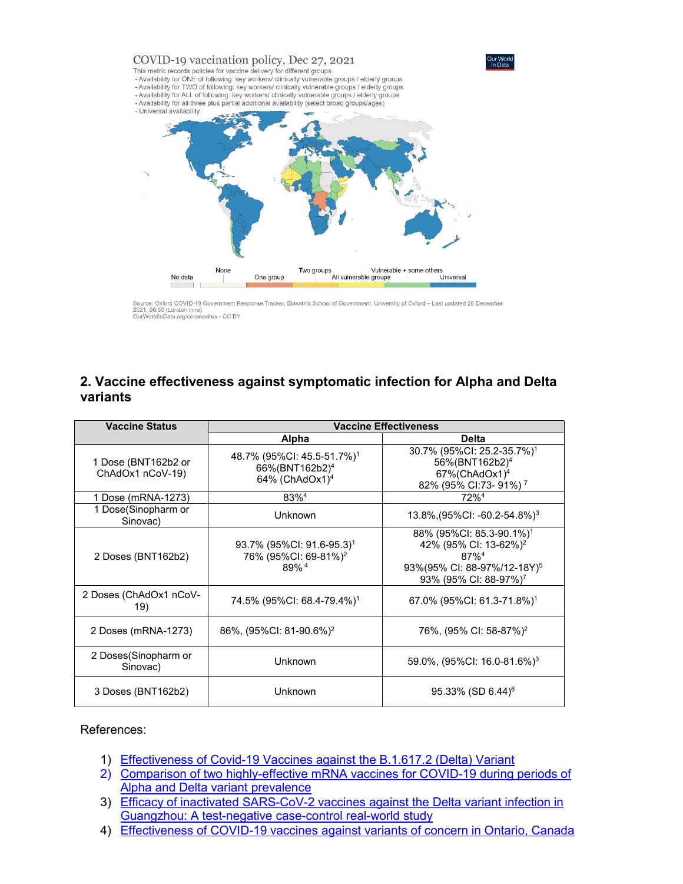

Source: Oxford COVID-19 Government Response Tracker, Blavatnik School of Government, University of Oxford – Last updated 28 December<br>2021, 08:50 (London time)<br>OurWorldInData.org/coronavirus • CC BY

## **2. Vaccine effectiveness against symptomatic infection for Alpha and Delta variants**

| <b>Vaccine Status</b>                   | <b>Vaccine Effectiveness</b>                                                                       |                                                                                                                                                                                  |  |  |
|-----------------------------------------|----------------------------------------------------------------------------------------------------|----------------------------------------------------------------------------------------------------------------------------------------------------------------------------------|--|--|
|                                         | Alpha                                                                                              | <b>Delta</b>                                                                                                                                                                     |  |  |
| 1 Dose (BNT162b2 or<br>ChAdOx1 nCoV-19) | 48.7% (95%CI: 45.5-51.7%) <sup>1</sup><br>66%(BNT162b2) <sup>4</sup><br>64% (ChAdOx1) <sup>4</sup> | 30.7% (95%Cl: 25.2-35.7%) <sup>1</sup><br>56%(BNT162b2) <sup>4</sup><br>$67\%$ (ChAdOx1) <sup>4</sup><br>82% (95% CI:73- 91%) <sup>7</sup>                                       |  |  |
| 1 Dose (mRNA-1273)                      | 83% <sup>4</sup>                                                                                   | 72% <sup>4</sup>                                                                                                                                                                 |  |  |
| 1 Dose(Sinopharm or<br>Sinovac)         | Unknown                                                                                            | 13.8%, $(95\%$ CI: -60.2-54.8%) <sup>3</sup>                                                                                                                                     |  |  |
| 2 Doses (BNT162b2)                      | 93.7% (95%CI: 91.6-95.3) <sup>1</sup><br>76% (95%CI: 69-81%) <sup>2</sup><br>89% <sup>4</sup>      | 88% (95%CI: 85.3-90.1%) <sup>1</sup><br>42% (95% CI: 13-62%) <sup>2</sup><br>$87\%$ <sup>4</sup><br>93%(95% CI: 88-97%/12-18Y) <sup>5</sup><br>93% (95% CI: 88-97%) <sup>7</sup> |  |  |
| 2 Doses (ChAdOx1 nCoV-<br>19)           | 74.5% (95%CI: 68.4-79.4%) <sup>1</sup>                                                             | 67.0% (95%CI: 61.3-71.8%) <sup>1</sup>                                                                                                                                           |  |  |
| 2 Doses (mRNA-1273)                     | 86%, (95%CI: 81-90.6%) <sup>2</sup>                                                                | 76%, (95% CI: 58-87%) <sup>2</sup>                                                                                                                                               |  |  |
| 2 Doses(Sinopharm or<br>Sinovac)        | Unknown                                                                                            | 59.0%, (95%CI: 16.0-81.6%) <sup>3</sup>                                                                                                                                          |  |  |
| 3 Doses (BNT162b2)                      | <b>Unknown</b>                                                                                     | $95.33\%$ (SD 6.44) <sup>6</sup>                                                                                                                                                 |  |  |

#### References:

- 1) [Effectiveness](https://www.nejm.org/doi/pdf/10.1056/NEJMoa2108891?articleTools=true) of Covid-19 Vaccines against the B.1.617.2 (Delta) Variant
- 2) Comparison of two [highly-effective](https://www.medrxiv.org/content/10.1101/2021.08.06.21261707v1.full.pdf) mRNA vaccines for COVID-19 during periods of Alpha and Delta variant prevalence
- 3) Efficacy of inactivated [SARS-CoV-2](https://www.tandfonline.com/doi/full/10.1080/22221751.2021.1969291) vaccines against the Delta variant infection in Guangzhou: A test-negative case-control real-world study
- 4) [Effectiveness](https://www.medrxiv.org/content/10.1101/2021.06.28.21259420v2.full.pdf) of COVID-19 vaccines against variants of concern in Ontario, Canada